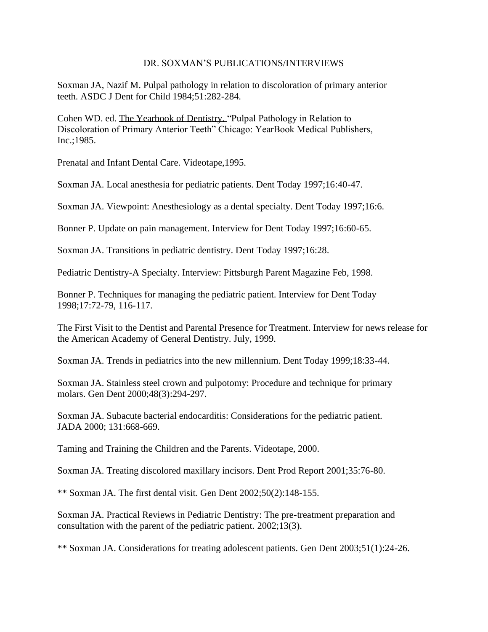## DR. SOXMAN'S PUBLICATIONS/INTERVIEWS

Soxman JA, Nazif M. Pulpal pathology in relation to discoloration of primary anterior teeth. ASDC J Dent for Child 1984;51:282-284.

Cohen WD. ed. The Yearbook of Dentistry. "Pulpal Pathology in Relation to Discoloration of Primary Anterior Teeth" Chicago: YearBook Medical Publishers, Inc.;1985.

Prenatal and Infant Dental Care. Videotape,1995.

Soxman JA. Local anesthesia for pediatric patients. Dent Today 1997;16:40-47.

Soxman JA. Viewpoint: Anesthesiology as a dental specialty. Dent Today 1997;16:6.

Bonner P. Update on pain management. Interview for Dent Today 1997;16:60-65.

Soxman JA. Transitions in pediatric dentistry. Dent Today 1997;16:28.

Pediatric Dentistry-A Specialty. Interview: Pittsburgh Parent Magazine Feb, 1998.

Bonner P. Techniques for managing the pediatric patient. Interview for Dent Today 1998;17:72-79, 116-117.

The First Visit to the Dentist and Parental Presence for Treatment. Interview for news release for the American Academy of General Dentistry. July, 1999.

Soxman JA. Trends in pediatrics into the new millennium. Dent Today 1999;18:33-44.

Soxman JA. Stainless steel crown and pulpotomy: Procedure and technique for primary molars. Gen Dent 2000;48(3):294-297.

Soxman JA. Subacute bacterial endocarditis: Considerations for the pediatric patient. JADA 2000; 131:668-669.

Taming and Training the Children and the Parents. Videotape, 2000.

Soxman JA. Treating discolored maxillary incisors. Dent Prod Report 2001;35:76-80.

\*\* Soxman JA. The first dental visit. Gen Dent 2002;50(2):148-155.

Soxman JA. Practical Reviews in Pediatric Dentistry: The pre-treatment preparation and consultation with the parent of the pediatric patient. 2002;13(3).

\*\* Soxman JA. Considerations for treating adolescent patients. Gen Dent 2003;51(1):24-26.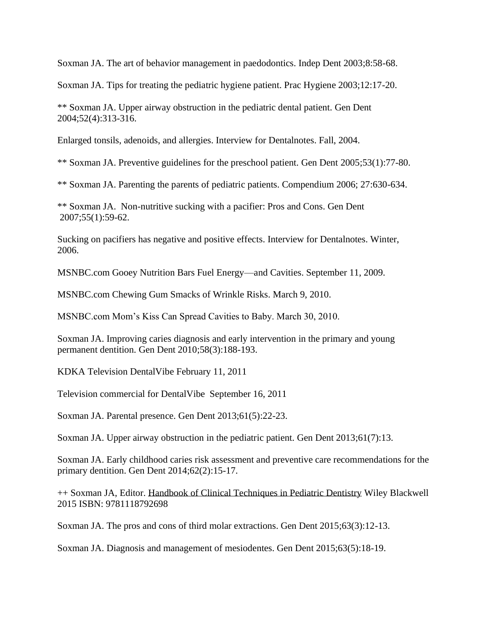Soxman JA. The art of behavior management in paedodontics. Indep Dent 2003;8:58-68.

Soxman JA. Tips for treating the pediatric hygiene patient. Prac Hygiene 2003;12:17-20.

\*\* Soxman JA. Upper airway obstruction in the pediatric dental patient. Gen Dent 2004;52(4):313-316.

Enlarged tonsils, adenoids, and allergies. Interview for Dentalnotes. Fall, 2004.

\*\* Soxman JA. Preventive guidelines for the preschool patient. Gen Dent 2005;53(1):77-80.

\*\* Soxman JA. Parenting the parents of pediatric patients. Compendium 2006; 27:630-634.

\*\* Soxman JA. Non-nutritive sucking with a pacifier: Pros and Cons. Gen Dent 2007;55(1):59-62.

Sucking on pacifiers has negative and positive effects. Interview for Dentalnotes. Winter, 2006.

MSNBC.com Gooey Nutrition Bars Fuel Energy—and Cavities. September 11, 2009.

MSNBC.com Chewing Gum Smacks of Wrinkle Risks. March 9, 2010.

MSNBC.com Mom's Kiss Can Spread Cavities to Baby. March 30, 2010.

Soxman JA. Improving caries diagnosis and early intervention in the primary and young permanent dentition. Gen Dent 2010;58(3):188-193.

KDKA Television DentalVibe February 11, 2011

Television commercial for DentalVibe September 16, 2011

Soxman JA. Parental presence. Gen Dent 2013;61(5):22-23.

Soxman JA. Upper airway obstruction in the pediatric patient. Gen Dent 2013;61(7):13.

Soxman JA. Early childhood caries risk assessment and preventive care recommendations for the primary dentition. Gen Dent 2014;62(2):15-17.

++ Soxman JA, Editor. Handbook of Clinical Techniques in Pediatric Dentistry Wiley Blackwell 2015 ISBN: 9781118792698

Soxman JA. The pros and cons of third molar extractions. Gen Dent 2015;63(3):12-13.

Soxman JA. Diagnosis and management of mesiodentes. Gen Dent 2015;63(5):18-19.